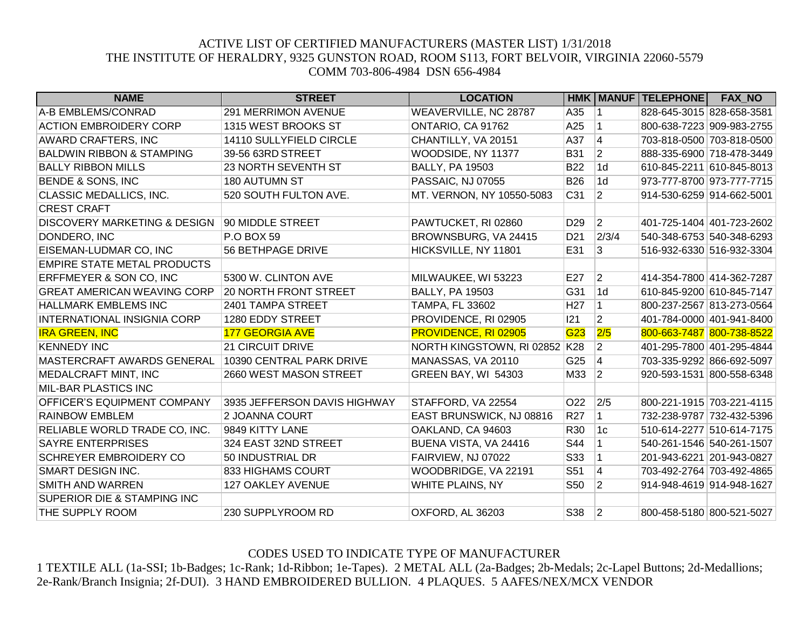## ACTIVE LIST OF CERTIFIED MANUFACTURERS (MASTER LIST) 1/31/2018 THE INSTITUTE OF HERALDRY, 9325 GUNSTON ROAD, ROOM S113, FORT BELVOIR, VIRGINIA 22060-5579 COMM 703-806-4984 DSN 656-4984

| <b>NAME</b>                             | <b>STREET</b>                | <b>LOCATION</b>               |                 |                 | HMK   MANUF   TELEPHONE   | <b>FAX NO</b>             |
|-----------------------------------------|------------------------------|-------------------------------|-----------------|-----------------|---------------------------|---------------------------|
| A-B EMBLEMS/CONRAD                      | 291 MERRIMON AVENUE          | WEAVERVILLE, NC 28787         | A35             | $\mathbf 1$     |                           | 828-645-3015 828-658-3581 |
| <b>ACTION EMBROIDERY CORP</b>           | 1315 WEST BROOKS ST          | ONTARIO, CA 91762             | A25             | 1               |                           | 800-638-7223 909-983-2755 |
| AWARD CRAFTERS, INC                     | 14110 SULLYFIELD CIRCLE      | CHANTILLY, VA 20151           | A37             | $\overline{4}$  |                           | 703-818-0500 703-818-0500 |
| <b>BALDWIN RIBBON &amp; STAMPING</b>    | 39-56 63RD STREET            | WOODSIDE, NY 11377            | <b>B31</b>      | $ 2\rangle$     | 888-335-6900 718-478-3449 |                           |
| <b>BALLY RIBBON MILLS</b>               | 23 NORTH SEVENTH ST          | <b>BALLY, PA 19503</b>        | <b>B22</b>      | 1 <sub>d</sub>  | 610-845-2211 610-845-8013 |                           |
| <b>BENDE &amp; SONS, INC</b>            | 180 AUTUMN ST                | PASSAIC, NJ 07055             | <b>B26</b>      | 1d              | 973-777-8700 973-777-7715 |                           |
| CLASSIC MEDALLICS, INC.                 | 520 SOUTH FULTON AVE.        | MT. VERNON, NY 10550-5083     | C31             | 2               | 914-530-6259 914-662-5001 |                           |
| <b>CREST CRAFT</b>                      |                              |                               |                 |                 |                           |                           |
| <b>DISCOVERY MARKETING &amp; DESIGN</b> | 90 MIDDLE STREET             | PAWTUCKET, RI 02860           | D <sub>29</sub> | $ 2\rangle$     | 401-725-1404 401-723-2602 |                           |
| DONDERO, INC                            | <b>P.O BOX 59</b>            | BROWNSBURG, VA 24415          | D <sub>21</sub> | 2/3/4           |                           | 540-348-6753 540-348-6293 |
| EISEMAN-LUDMAR CO, INC                  | 56 BETHPAGE DRIVE            | HICKSVILLE, NY 11801          | E31             | 3               |                           | 516-932-6330 516-932-3304 |
| <b>EMPIRE STATE METAL PRODUCTS</b>      |                              |                               |                 |                 |                           |                           |
| ERFFMEYER & SON CO, INC                 | 5300 W. CLINTON AVE          | MILWAUKEE, WI 53223           | E27             | $\overline{2}$  | 414-354-7800 414-362-7287 |                           |
| <b>GREAT AMERICAN WEAVING CORP</b>      | <b>20 NORTH FRONT STREET</b> | <b>BALLY, PA 19503</b>        | G31             | $\overline{1d}$ | 610-845-9200 610-845-7147 |                           |
| <b>HALLMARK EMBLEMS INC</b>             | 2401 TAMPA STREET            | <b>TAMPA, FL 33602</b>        | H <sub>27</sub> | $\mathbf 1$     |                           | 800-237-2567 813-273-0564 |
| <b>INTERNATIONAL INSIGNIA CORP</b>      | 1280 EDDY STREET             | PROVIDENCE, RI 02905          | 121             | $ 2\rangle$     | 401-784-0000 401-941-8400 |                           |
| <b>IRA GREEN, INC</b>                   | 177 GEORGIA AVE              | PROVIDENCE, RI 02905          | G <sub>23</sub> | 2/5             |                           | 800-663-7487 800-738-8522 |
| <b>KENNEDY INC</b>                      | 21 CIRCUIT DRIVE             | NORTH KINGSTOWN, RI 02852 K28 |                 | $\overline{2}$  | 401-295-7800 401-295-4844 |                           |
| MASTERCRAFT AWARDS GENERAL              | 10390 CENTRAL PARK DRIVE     | MANASSAS, VA 20110            | G25             | $\vert 4 \vert$ |                           | 703-335-9292 866-692-5097 |
| <b>MEDALCRAFT MINT, INC</b>             | 2660 WEST MASON STREET       | GREEN BAY, WI 54303           | M33             | $ 2\rangle$     |                           | 920-593-1531 800-558-6348 |
| <b>MIL-BAR PLASTICS INC</b>             |                              |                               |                 |                 |                           |                           |
| <b>OFFICER'S EQUIPMENT COMPANY</b>      | 3935 JEFFERSON DAVIS HIGHWAY | STAFFORD, VA 22554            | O22             | 2/5             | 800-221-1915 703-221-4115 |                           |
| <b>RAINBOW EMBLEM</b>                   | 2 JOANNA COURT               | EAST BRUNSWICK, NJ 08816      | <b>R27</b>      | $ 1\rangle$     | 732-238-9787 732-432-5396 |                           |
| RELIABLE WORLD TRADE CO, INC.           | 9849 KITTY LANE              | OAKLAND, CA 94603             | R30             | 1c              |                           | 510-614-2277 510-614-7175 |
| <b>SAYRE ENTERPRISES</b>                | 324 EAST 32ND STREET         | BUENA VISTA, VA 24416         | S44             | $\mathbf 1$     |                           | 540-261-1546 540-261-1507 |
| SCHREYER EMBROIDERY CO                  | 50 INDUSTRIAL DR             | FAIRVIEW, NJ 07022            | S33             | $\vert$ 1       |                           | 201-943-6221 201-943-0827 |
| <b>SMART DESIGN INC.</b>                | 833 HIGHAMS COURT            | WOODBRIDGE, VA 22191          | S51             | $\vert 4 \vert$ |                           | 703-492-2764 703-492-4865 |
| <b>SMITH AND WARREN</b>                 | 127 OAKLEY AVENUE            | WHITE PLAINS, NY              | S50             | $ 2\rangle$     | 914-948-4619 914-948-1627 |                           |
| <b>SUPERIOR DIE &amp; STAMPING INC</b>  |                              |                               |                 |                 |                           |                           |
| THE SUPPLY ROOM                         | 230 SUPPLYROOM RD            | OXFORD, AL 36203              | S38             | 2               |                           | 800-458-5180 800-521-5027 |

## CODES USED TO INDICATE TYPE OF MANUFACTURER

1 TEXTILE ALL (1a-SSI; 1b-Badges; 1c-Rank; 1d-Ribbon; 1e-Tapes). 2 METAL ALL (2a-Badges; 2b-Medals; 2c-Lapel Buttons; 2d-Medallions; 2e-Rank/Branch Insignia; 2f-DUI). 3 HAND EMBROIDERED BULLION. 4 PLAQUES. 5 AAFES/NEX/MCX VENDOR